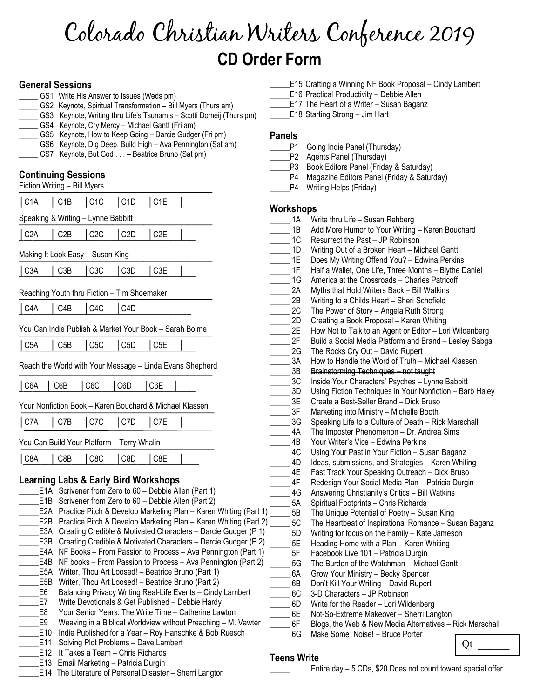# Colorado Christian Writers Conference 2019 CD Order Form

#### General Sessions

- GS1 Write His Answer to Issues (Weds pm) GS2 Keynote, Spiritual Transformation – Bill Myers (Thurs am)
- GS3 Keynote, Writing thru Life's Tsunamis Scotti Domeij (Thurs pm)
- GS4 Keynote, Cry Mercy Michael Gantt (Fri am)
- GS5 Keynote, How to Keep Going Darcie Gudger (Fri pm)
- GS6 Keynote, Dig Deep, Build High Ava Pennington (Sat am)
- GS7 Keynote, But God . . . Beatrice Bruno (Sat pm)

#### Continuing Sessions

|                          | บบแแแนแนู บะจจเบแจ<br>Fiction Writing - Bill Myers |                                                 |                     |                  |                                                                                                                                                                                                                      |
|--------------------------|----------------------------------------------------|-------------------------------------------------|---------------------|------------------|----------------------------------------------------------------------------------------------------------------------------------------------------------------------------------------------------------------------|
| $ $ C <sub>1</sub> A     | $\vert$ C <sub>1B</sub>                            | $ $ C1C                                         | $ $ C <sub>1D</sub> | $ $ C1E          |                                                                                                                                                                                                                      |
|                          |                                                    | Speaking & Writing - Lynne Babbitt              |                     |                  |                                                                                                                                                                                                                      |
| $\vert$ C <sub>2</sub> A | C2B                                                | C2C                                             | C <sub>2</sub> D    | C <sub>2</sub> E |                                                                                                                                                                                                                      |
|                          |                                                    | Making It Look Easy – Susan King                |                     |                  |                                                                                                                                                                                                                      |
| $\big $ C <sub>3</sub> A | C <sub>3</sub> B                                   | C3C                                             | C <sub>3</sub> D    | C3E              |                                                                                                                                                                                                                      |
|                          |                                                    | Reaching Youth thru Fiction - Tim Shoemaker     |                     |                  |                                                                                                                                                                                                                      |
| $ $ C <sub>4</sub> A     | C <sub>4</sub> B                                   | C4C                                             | C <sub>4</sub> D    |                  |                                                                                                                                                                                                                      |
|                          |                                                    |                                                 |                     |                  | You Can Indie Publish & Market Your Book - Sarah Bolme                                                                                                                                                               |
| $\vert$ C <sub>5</sub> A | C5B                                                | C5C                                             | $ $ C5D             | C <sub>5</sub> E |                                                                                                                                                                                                                      |
|                          |                                                    |                                                 |                     |                  | Reach the World with Your Message - Linda Evans Shepherd                                                                                                                                                             |
| $\vert$ C6A              | C6B                                                | C <sub>6</sub> C                                | C6D                 | C6E              |                                                                                                                                                                                                                      |
|                          |                                                    |                                                 |                     |                  | Your Nonfiction Book - Karen Bouchard & Michael Klassen                                                                                                                                                              |
| $ $ C7A                  | C7B                                                | $ $ C7C                                         | $ $ C7D             | C7E              |                                                                                                                                                                                                                      |
|                          |                                                    | You Can Build Your Platform - Terry Whalin      |                     |                  |                                                                                                                                                                                                                      |
| $\big $ C8A              | C8B                                                | C <sub>8</sub> C                                | C8D                 | C8E              |                                                                                                                                                                                                                      |
|                          | E1A<br>E1B<br>E2B                                  | <b>Learning Labs &amp; Early Bird Workshops</b> |                     |                  | Scrivener from Zero to 60 - Debbie Allen (Part 1)<br>Scrivener from Zero to 60 - Debbie Allen (Part 2)<br>E2A Practice Pitch & Develop Marketing Plan - Karen \<br>Practice Pitch & Develop Marketing Plan - Karen \ |
|                          | E3A<br>E3B                                         |                                                 |                     |                  | Creating Credible & Motivated Characters - Darcie<br>Creating Credible & Motivated Characters - Darcie                                                                                                               |

- Gudger (P 1) Gudger (P 2)
- \_\_\_\_\_E4A NF Books From Passion to Process Ava Pennington (Part 1) \_\_\_\_\_E4B NF books – From Passion to Process – Ava Pennington (Part 2)
- \_\_\_\_\_E5A Writer, Thou Art Loosed! Beatrice Bruno (Part 1)
- \_\_\_\_\_E5B Writer, Thou Art Loosed! Beatrice Bruno (Part 2)
- \_\_\_\_\_E6 Balancing Privacy Writing Real-Life Events Cindy Lambert
- E7 Write Devotionals & Get Published Debbie Hardy
- E8 Your Senior Years: The Write Time Catherine Lawton
- \_\_\_\_\_E9 Weaving in a Biblical Worldview without Preaching M. Vawter E10 Indie Published for a Year – Roy Hanschke & Bob Ruesch
- \_\_\_\_\_E11 Solving Plot Problems Dave Lambert
- E12 It Takes a Team Chris Richards
- 
- E13 Email Marketing Patricia Durgin
- \_\_\_\_\_E14 The Literature of Personal Disaster Sherri Langton
- E15 Crafting a Winning NF Book Proposal Cindy Lambert
- E16 Practical Productivity Debbie Allen
- \_\_\_\_\_E17 The Heart of a Writer Susan Baganz
- \_\_\_\_\_E18 Starting Strong Jim Hart

#### Panels

\_P1 Going Indie Panel (Thursday) \_\_\_\_\_P2 Agents Panel (Thursday) P3 Book Editors Panel (Friday & Saturday) \_\_\_\_\_P4 Magazine Editors Panel (Friday & Saturday)

### \_\_\_\_\_P4 Writing Helps (Friday)

#### **Workshops**

|                  |             | 1A | Write thru Life - Susan Rehberg                          |    |
|------------------|-------------|----|----------------------------------------------------------|----|
|                  |             | 1B | Add More Humor to Your Writing - Karen Bouchard          |    |
|                  |             | 1C | Resurrect the Past - JP Robinson                         |    |
|                  |             | 1D | Writing Out of a Broken Heart - Michael Gantt            |    |
|                  |             | 1E | Does My Writing Offend You? - Edwina Perkins             |    |
|                  |             | 1F | Half a Wallet, One Life, Three Months - Blythe Daniel    |    |
|                  |             | 1G | America at the Crossroads - Charles Patricoff            |    |
|                  |             | 2A | Myths that Hold Writers Back - Bill Watkins              |    |
|                  |             | 2B | Writing to a Childs Heart - Sheri Schofield              |    |
|                  |             | 2C | The Power of Story - Angela Ruth Strong                  |    |
|                  |             | 2D | Creating a Book Proposal - Karen Whiting                 |    |
|                  |             | 2E | How Not to Talk to an Agent or Editor - Lori Wildenberg  |    |
|                  |             | 2F | Build a Social Media Platform and Brand - Lesley Sabga   |    |
|                  |             | 2G | The Rocks Cry Out - David Rupert                         |    |
|                  |             | 3A | How to Handle the Word of Truth - Michael Klassen        |    |
|                  |             | 3B | Brainstorming Techniques - not taught                    |    |
|                  |             | 3C | Inside Your Characters' Psyches - Lynne Babbitt          |    |
|                  |             | 3D | Using Fiction Techniques in Your Nonfiction - Barb Haley |    |
|                  |             | 3E | Create a Best-Seller Brand - Dick Bruso                  |    |
|                  |             | 3F | Marketing into Ministry - Michelle Booth                 |    |
|                  |             | 3G | Speaking Life to a Culture of Death - Rick Marschall     |    |
|                  |             | 4A | The Imposter Phenomenon - Dr. Andrea Sims                |    |
|                  |             | 4B | Your Writer's Vice - Edwina Perkins                      |    |
|                  |             | 4C | Using Your Past in Your Fiction - Susan Baganz           |    |
|                  |             | 4D | Ideas, submissions, and Strategies - Karen Whiting       |    |
|                  |             | 4E | Fast Track Your Speaking Outreach - Dick Bruso           |    |
|                  |             | 4F | Redesign Your Social Media Plan - Patricia Durgin        |    |
|                  |             | 4G | Answering Christianity's Critics - Bill Watkins          |    |
|                  |             | 5A | Spiritual Footprints - Chris Richards                    |    |
| Vhiting (Part 1) |             | 5B | The Unique Potential of Poetry - Susan King              |    |
| Vhiting (Part 2) |             | 5C | The Heartbeat of Inspirational Romance - Susan Baganz    |    |
| Gudger (P1)      |             | 5D | Writing for focus on the Family - Kate Jameson           |    |
| Gudger (P2)      |             | 5E | Heading Home with a Plan - Karen Whiting                 |    |
| ngton (Part 1)   |             | 5F | Facebook Live 101 - Patricia Durgin                      |    |
| ngton (Part 2)   |             | 5G | The Burden of the Watchman - Michael Gantt               |    |
|                  |             | 6A | Grow Your Ministry - Becky Spencer                       |    |
|                  |             | 6B | Don't Kill Your Writing - David Rupert                   |    |
| /Lambert         |             | 6C | 3-D Characters - JP Robinson                             |    |
|                  |             | 6D | Write for the Reader - Lori Wildenberg                   |    |
| wton             |             | 6E | Not-So-Extreme Makeover - Sherri Langton                 |    |
| - M. Vawter      |             | 6F | Blogs, the Web & New Media Alternatives - Rick Marschall |    |
| Ruesch           |             | 6G | Make Some Noise! - Bruce Porter                          |    |
|                  |             |    |                                                          | Qt |
|                  | Teens Write |    |                                                          |    |
|                  |             |    |                                                          |    |

Entire day – 5 CDs, \$20 Does not count toward special offer